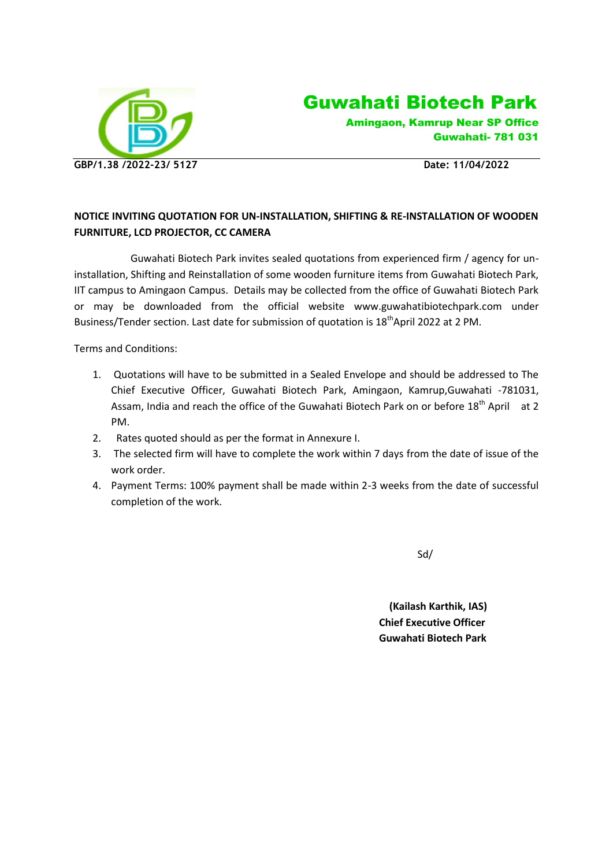

Guwahati Biotech Park

 Amingaon, Kamrup Near SP Office Guwahati- 781 031

## **NOTICE INVITING QUOTATION FOR UN-INSTALLATION, SHIFTING & RE-INSTALLATION OF WOODEN FURNITURE, LCD PROJECTOR, CC CAMERA**

 Guwahati Biotech Park invites sealed quotations from experienced firm / agency for uninstallation, Shifting and Reinstallation of some wooden furniture items from Guwahati Biotech Park, IIT campus to Amingaon Campus. Details may be collected from the office of Guwahati Biotech Park or may be downloaded from the official website www.guwahatibiotechpark.com under Business/Tender section. Last date for submission of quotation is 18<sup>th</sup>April 2022 at 2 PM.

Terms and Conditions:

- 1. Quotations will have to be submitted in a Sealed Envelope and should be addressed to The Chief Executive Officer, Guwahati Biotech Park, Amingaon, Kamrup,Guwahati -781031, Assam, India and reach the office of the Guwahati Biotech Park on or before 18<sup>th</sup> April at 2 PM.
- 2. Rates quoted should as per the format in Annexure I.
- 3. The selected firm will have to complete the work within 7 days from the date of issue of the work order.
- 4. Payment Terms: 100% payment shall be made within 2-3 weeks from the date of successful completion of the work.

Sd/

 **(Kailash Karthik, IAS) Chief Executive Officer Guwahati Biotech Park**